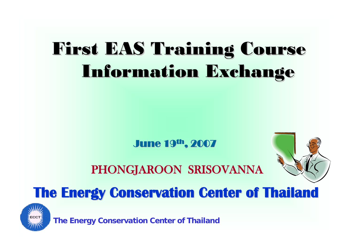# First EAS Training Course Information Exchange Information Exchange

June 19<sup>th</sup>, 2007

#### PHONGJAROON SRISOVANNA PHONGJAROON SRISOVANNA



#### **The Energy Conservation Center of Thailand The Energy Conservation Center of Thailand**

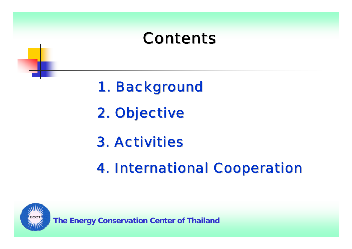### **Contents**

- 1. Background
- 2. Objective
- **3. Activities**
- **4. International Cooperation**

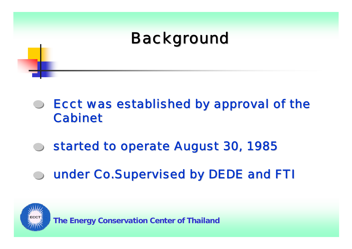## **Background**

- Ecct was established by approval of the Ecct was established by approval of the **Cabinet**
- started to operate August 30, 1985
- under Co.Supervised by DEDE and FTI

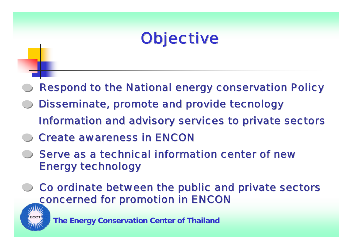## **Objective**

- Respond to the National energy conservation Policy
- Disseminate, promote and provide tecnology Information and advisory services to private sectors
- **Create awareness in ENCON**
- Serve as a technical information center of new **Energy technology**
- Co ordinate between the public and private sectors concerned for promotion in ENCON

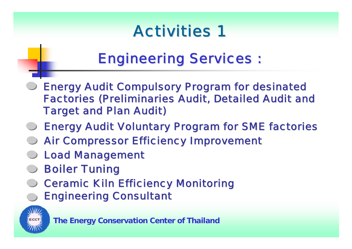## **Activities 1**

### **Engineering Services :**

- Energy Audit Compulsory Program for desinated Energy Audit Compulsory Program for desinated Factories (Preliminaries Audit, Detailed Audit and **Target and Plan Audit)**
- Energy Audit Voluntary Program for SME factories
- Air Compressor Efficiency Improvement Air Compressor Efficiency Improvement
- **Load Management**
- **Boiler Tuning**
- **Ceramic Kiln Efficiency Monitoring** Engineering Consultant Engineering Consultant

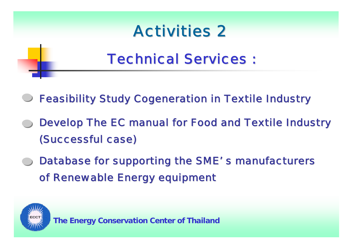

### **Technical Services :**

- **Feasibility Study Cogeneration in Textile Industry**
- Develop The EC manual for Food and Textile Industry (Successful case) (Successful case)
- Database for supporting the SME's manufacturers of Renewable Energy equipment

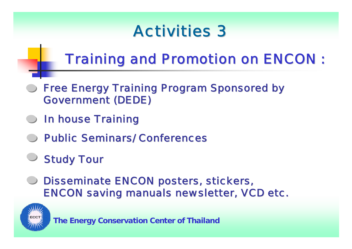### **Activities 3**

## **Training and Promotion on ENCON :**

- **Free Energy Training Program Sponsored by** Government (DEDE) Government (DEDE)
- **In house Training**
- **Public Seminars/ Conferences**
- **Study Tour**
- Disseminate ENCON posters, stickers, **ENCON saving manuals newsletter, VCD etc.**

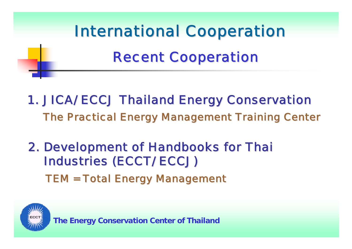

- 1. JICA/ ECCJ Thailand Energy Conservation 1. JICA/ ECCJ Thailand Energy Conservation The Practical Energy Management Training Center
- 2. Development of Handbooks for Thai 2. Development of Handbooks for Thai **Industries (ECCT/ ECCJ)** TEM = Total Energy Management

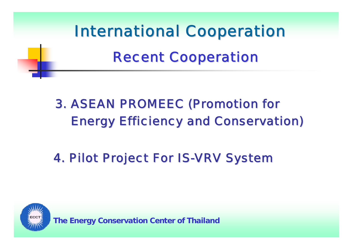

#### 3. ASEAN PROMEEC (Promotion for 3. ASEAN PROMEEC (Promotion for Energy Efficiency and Conservation) Energy Efficiency and Conservation)

#### 4. Pilot Project For IS-VRV System

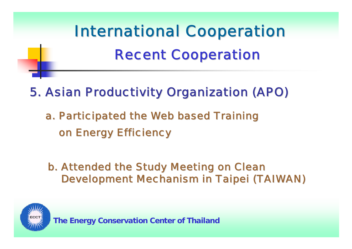

#### 5. Asian Productivity Organization (APO) 5. Asian Productivity Organization (APO)

a. Participated the Web based Training on Energy Efficiency

b. Attended the Study Meeting on Clean Development Mechanism in Taipei (TAIWAN) Development Mechanism in Taipei (TAIWAN)

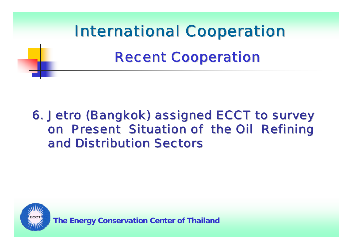

#### 6. Jetro (Bangkok) assigned ECCT to survey 6. Jetro (Bangkok) assigned ECCT to survey on Present Situation of the Oil Refining and Distribution Sectors and Distribution Sectors

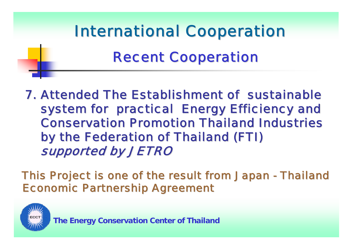

7. Attended The Establishment of sustainable system for practical Energy Efficiency and **Conservation Promotion Thailand Industries** by the Federation of Thailand (FTI) by the Federation of Thailand (FTI) supported by JETRO

This Project is one of the result from Japan - Thailand **Economic Partnership Agreement**